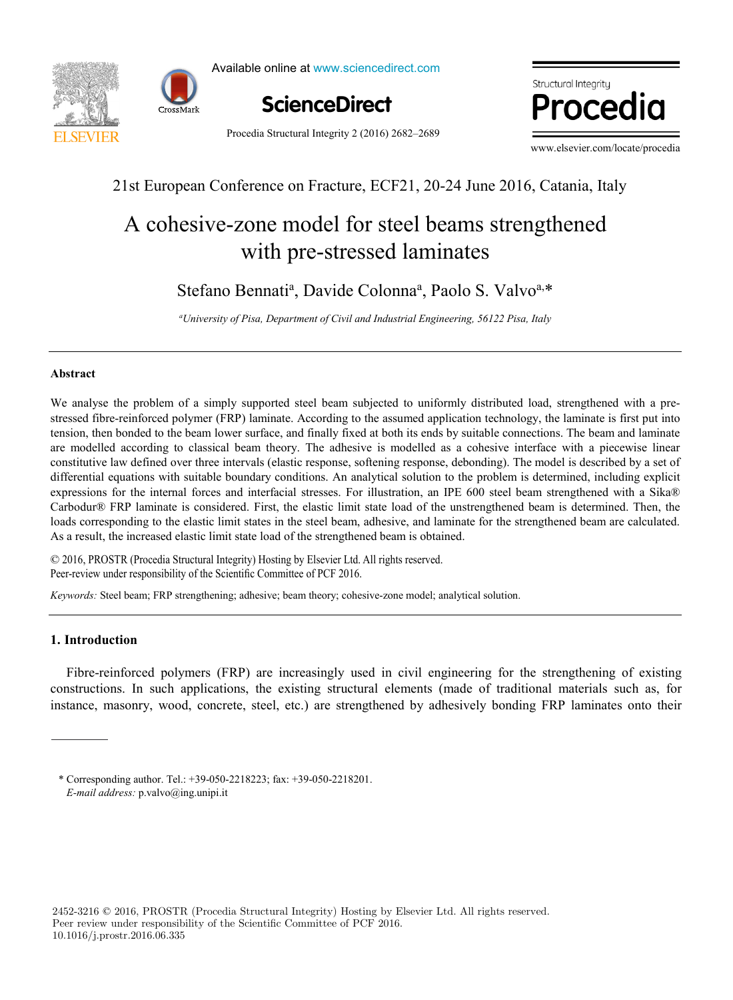



Available online at www.sciencedirect.com



Procedia Structural Integrity 2 (2016) 2682–2689

where  $\mathbb{R}^n$ 

www.elsevier.com/locate/procedia

## 21st European Conference on Fracture, ECF21, 20-24 June 2016, Catania, Italy

# with pre-stressed laminates A cohesive-zone model for steel beams strengthened

Stefano Bennati<sup>a</sup>, Davide Colonna<sup>a</sup>, Paolo S. Valvo<sup>a,\*</sup>

<sub>a</sub><br>Iniversity of Pisa, Department of Civil and Industrial Engineering, 56122 Pisa, Italy ®

,  $\frac{1}{2}$ 

,  $\overline{\phantom{a}}$ 

\*

## *a* **Abstract**

We analyse the problem of a simply supported steel beam subjected to uniformly distributed load, strengthened with a prestressed fibre-reinforced polymer (FRP) laminate. According to the assumed application technology, the laminate is first put into tension, then bonded to the beam lower surface, and finally fixed at both its ends by suitable connections. The beam and laminate **Abstract** differential equations with suitable boundary conditions. An analytical solution to the problem is determined, including explicit Carbodur® FRP laminate is considered. First, the elastic limit state load of the unstrengthened beam is determined. Then, the loads corresponding to the elastic limit states in the steel beam, adhesive, and laminate for the strengthened beam are calculated. As a result, the increased elastic limit state load of the strengthened beam is obtained. are modelled according to classical beam theory. The adhesive is modelled as a cohesive interface with a piecewise linear constitutive law defined over three intervals (elastic response, softening response, debonding). The model is described by a set of expressions for the internal forces and interfacial stresses. For illustration, an IPE 600 steel beam strengthened with a Sika® Since the special of the special structure of the special structural Integrity 2.0016) 2682-2689<br> **ELISEVIER**<br>
21 STENDER Proceeds Structural Integrity 2.0016) 2682-2689<br>
21 STENDER COLONNA and D. Colonna and P. Bennative

the creep behaviour of HPT blades. Flight data records (FDR) for a specific aircraft, provided by a commercial aviation  $\mathcal{F}_\text{max}$ © 2016, PROSTR (Procedia Structural Integrity) Hosting by Elsevier Ltd. All rights reserved. Peer-review under responsibility of the Scientific Committee of PCF 2016.

 $n$ wards: Steel beam: ERP strengthening: adhesive: beam theory: cohesive-zone model: analytical solution Keywords: Steel beam; FRP strengthening; adhesive; beam theory; cohesive-zone model; analytical solution.

P. Brandão<sup>a</sup>

#### $\mathbf{L}$  in the goal of predicting turbine blade life, given a set of  $\mathbf{L}$ **1. Introduction**

Fibre-reinforced polymers (FRP) are increasingly used in civil engineering for the strengthening of existing instance, masonry, wood, concrete, steel, etc.) are strengthened by adhesively bonding FRP laminates onto their constructions. In such applications, the existing structural elements (made of traditional materials such as, for

overall expected behaviour in terms of displacement was observed, in particular at the trailing edge of the blade. Therefore such a

<sup>\*</sup> Corresponding author. Tel.: +39-050-2218223; fax: +39-050-2218201. *E-mail address:* p.valvo@ing.unipi.it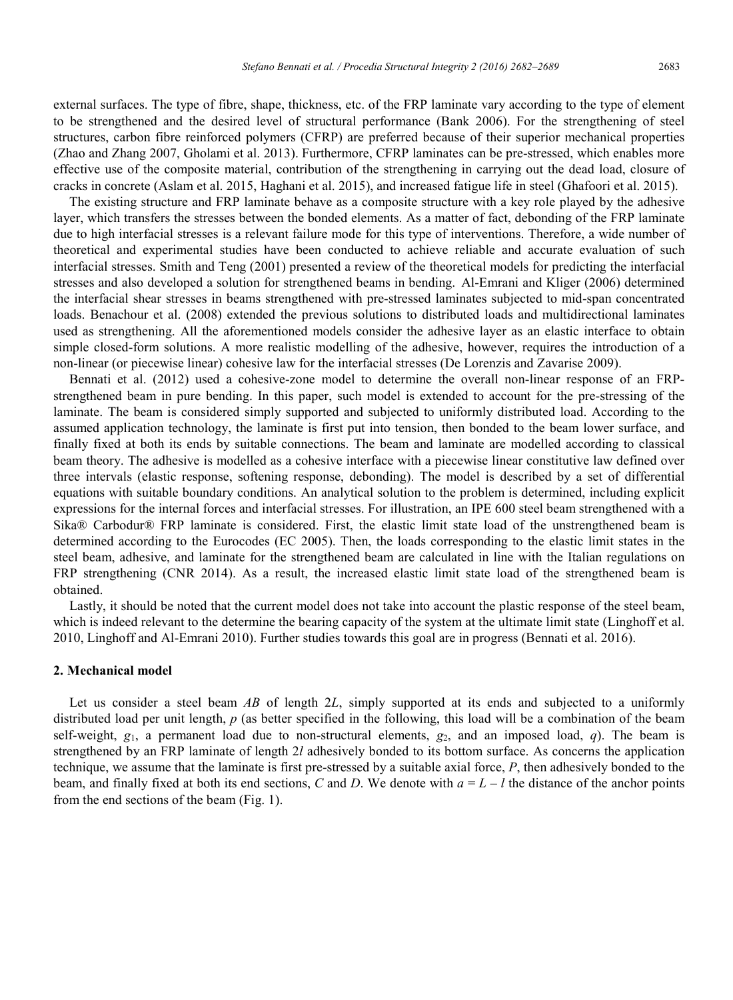external surfaces. The type of fibre, shape, thickness, etc. of the FRP laminate vary according to the type of element to be strengthened and the desired level of structural performance (Bank 2006). For the strengthening of steel structures, carbon fibre reinforced polymers (CFRP) are preferred because of their superior mechanical properties (Zhao and Zhang 2007, Gholami et al. 2013). Furthermore, CFRP laminates can be pre-stressed, which enables more effective use of the composite material, contribution of the strengthening in carrying out the dead load, closure of cracks in concrete (Aslam et al. 2015, Haghani et al. 2015), and increased fatigue life in steel (Ghafoori et al. 2015).

The existing structure and FRP laminate behave as a composite structure with a key role played by the adhesive layer, which transfers the stresses between the bonded elements. As a matter of fact, debonding of the FRP laminate due to high interfacial stresses is a relevant failure mode for this type of interventions. Therefore, a wide number of theoretical and experimental studies have been conducted to achieve reliable and accurate evaluation of such interfacial stresses. Smith and Teng (2001) presented a review of the theoretical models for predicting the interfacial stresses and also developed a solution for strengthened beams in bending. Al-Emrani and Kliger (2006) determined the interfacial shear stresses in beams strengthened with pre-stressed laminates subjected to mid-span concentrated loads. Benachour et al. (2008) extended the previous solutions to distributed loads and multidirectional laminates used as strengthening. All the aforementioned models consider the adhesive layer as an elastic interface to obtain simple closed-form solutions. A more realistic modelling of the adhesive, however, requires the introduction of a non-linear (or piecewise linear) cohesive law for the interfacial stresses (De Lorenzis and Zavarise 2009).

Bennati et al. (2012) used a cohesive-zone model to determine the overall non-linear response of an FRPstrengthened beam in pure bending. In this paper, such model is extended to account for the pre-stressing of the laminate. The beam is considered simply supported and subjected to uniformly distributed load. According to the assumed application technology, the laminate is first put into tension, then bonded to the beam lower surface, and finally fixed at both its ends by suitable connections. The beam and laminate are modelled according to classical beam theory. The adhesive is modelled as a cohesive interface with a piecewise linear constitutive law defined over three intervals (elastic response, softening response, debonding). The model is described by a set of differential equations with suitable boundary conditions. An analytical solution to the problem is determined, including explicit expressions for the internal forces and interfacial stresses. For illustration, an IPE 600 steel beam strengthened with a Sika® Carbodur® FRP laminate is considered. First, the elastic limit state load of the unstrengthened beam is determined according to the Eurocodes (EC 2005). Then, the loads corresponding to the elastic limit states in the steel beam, adhesive, and laminate for the strengthened beam are calculated in line with the Italian regulations on FRP strengthening (CNR 2014). As a result, the increased elastic limit state load of the strengthened beam is obtained.

Lastly, it should be noted that the current model does not take into account the plastic response of the steel beam, which is indeed relevant to the determine the bearing capacity of the system at the ultimate limit state (Linghoff et al. 2010, Linghoff and Al-Emrani 2010). Further studies towards this goal are in progress (Bennati et al. 2016).

## **2. Mechanical model**

Let us consider a steel beam *AB* of length 2*L*, simply supported at its ends and subjected to a uniformly distributed load per unit length, *p* (as better specified in the following, this load will be a combination of the beam self-weight,  $g_1$ , a permanent load due to non-structural elements,  $g_2$ , and an imposed load, *q*). The beam is strengthened by an FRP laminate of length 2*l* adhesively bonded to its bottom surface. As concerns the application technique, we assume that the laminate is first pre-stressed by a suitable axial force, *P*, then adhesively bonded to the beam, and finally fixed at both its end sections, *C* and *D*. We denote with  $a = L - l$  the distance of the anchor points from the end sections of the beam (Fig. 1).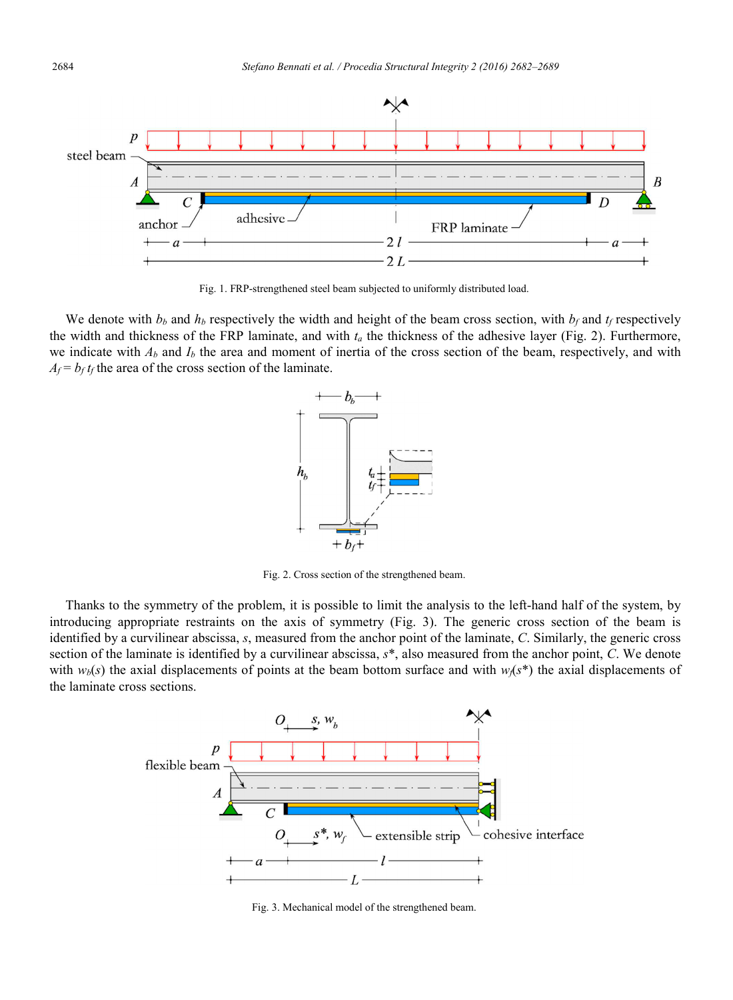

Fig. 1. FRP-strengthened steel beam subjected to uniformly distributed load.

We denote with  $b_b$  and  $h_b$  respectively the width and height of the beam cross section, with  $b_f$  and  $t_f$  respectively the width and thickness of the FRP laminate, and with *ta* the thickness of the adhesive layer (Fig. 2). Furthermore, we indicate with  $A_b$  and  $I_b$  the area and moment of inertia of the cross section of the beam, respectively, and with  $A_f = b_f t_f$  the area of the cross section of the laminate.



Fig. 2. Cross section of the strengthened beam.

Thanks to the symmetry of the problem, it is possible to limit the analysis to the left-hand half of the system, by introducing appropriate restraints on the axis of symmetry (Fig. 3). The generic cross section of the beam is identified by a curvilinear abscissa, *s*, measured from the anchor point of the laminate, *C*. Similarly, the generic cross section of the laminate is identified by a curvilinear abscissa, *s*\*, also measured from the anchor point, *C*. We denote with  $w_b(s)$  the axial displacements of points at the beam bottom surface and with  $w_f(s^*)$  the axial displacements of the laminate cross sections.



Fig. 3. Mechanical model of the strengthened beam.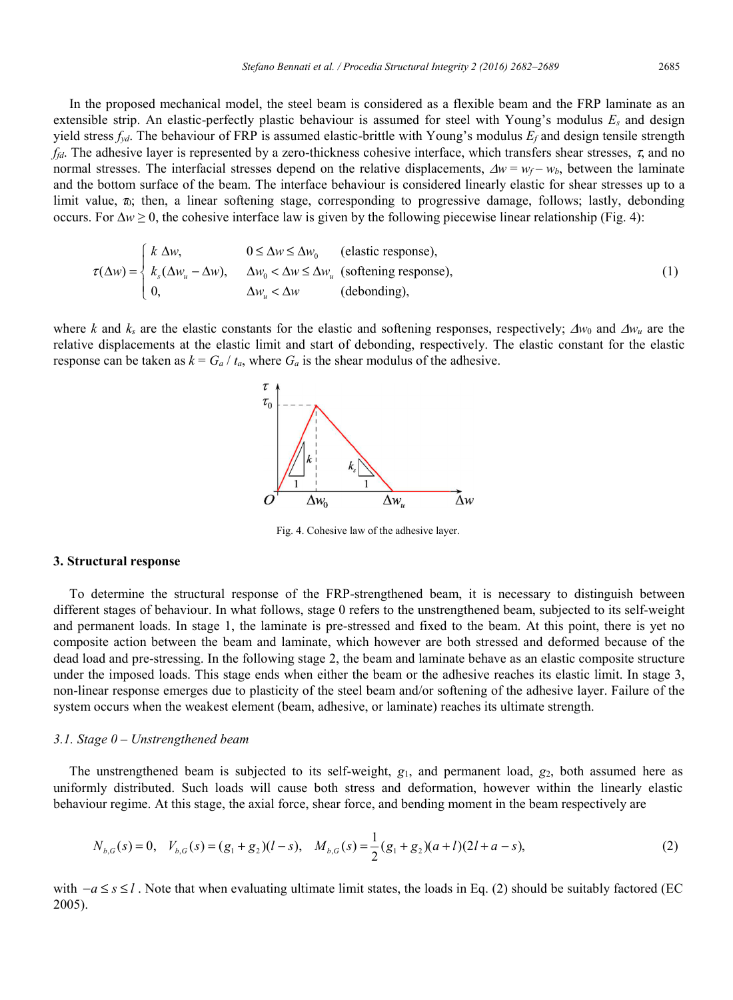In the proposed mechanical model, the steel beam is considered as a flexible beam and the FRP laminate as an extensible strip. An elastic-perfectly plastic behaviour is assumed for steel with Young's modulus *Es* and design yield stress *fyd*. The behaviour of FRP is assumed elastic-brittle with Young's modulus *Ef* and design tensile strength *ffd*. The adhesive layer is represented by a zero-thickness cohesive interface, which transfers shear stresses, τ, and no normal stresses. The interfacial stresses depend on the relative displacements,  $\Delta w = w_f - w_b$ , between the laminate and the bottom surface of the beam. The interface behaviour is considered linearly elastic for shear stresses up to a limit value,  $\pi$ ; then, a linear softening stage, corresponding to progressive damage, follows; lastly, debonding occurs. For ∆*w* ≥ 0, the cohesive interface law is given by the following piecewise linear relationship (Fig. 4):

$$
\tau(\Delta w) = \begin{cases} k \Delta w, & 0 \le \Delta w \le \Delta w_0 \text{ (elastic response)},\\ k_s(\Delta w_u - \Delta w), & \Delta w_0 < \Delta w \le \Delta w_u \text{ (softening response)},\\ 0, & \Delta w_u < \Delta w \text{ (debonding)}, \end{cases}
$$
(1)

where *k* and  $k_s$  are the elastic constants for the elastic and softening responses, respectively;  $\Delta w_0$  and  $\Delta w_u$  are the relative displacements at the elastic limit and start of debonding, respectively. The elastic constant for the elastic response can be taken as  $k = G_a / t_a$ , where  $G_a$  is the shear modulus of the adhesive.



Fig. 4. Cohesive law of the adhesive layer.

#### **3. Structural response**

To determine the structural response of the FRP-strengthened beam, it is necessary to distinguish between different stages of behaviour. In what follows, stage 0 refers to the unstrengthened beam, subjected to its self-weight and permanent loads. In stage 1, the laminate is pre-stressed and fixed to the beam. At this point, there is yet no composite action between the beam and laminate, which however are both stressed and deformed because of the dead load and pre-stressing. In the following stage 2, the beam and laminate behave as an elastic composite structure under the imposed loads. This stage ends when either the beam or the adhesive reaches its elastic limit. In stage 3, non-linear response emerges due to plasticity of the steel beam and/or softening of the adhesive layer. Failure of the system occurs when the weakest element (beam, adhesive, or laminate) reaches its ultimate strength.

#### *3.1. Stage 0 – Unstrengthened beam*

The unstrengthened beam is subjected to its self-weight, *g*1, and permanent load, *g*2, both assumed here as uniformly distributed. Such loads will cause both stress and deformation, however within the linearly elastic behaviour regime. At this stage, the axial force, shear force, and bending moment in the beam respectively are

$$
N_{b,G}(s) = 0, \quad V_{b,G}(s) = (g_1 + g_2)(l - s), \quad M_{b,G}(s) = \frac{1}{2}(g_1 + g_2)(a + l)(2l + a - s), \tag{2}
$$

with  $-a \le s \le l$ . Note that when evaluating ultimate limit states, the loads in Eq. (2) should be suitably factored (EC 2005).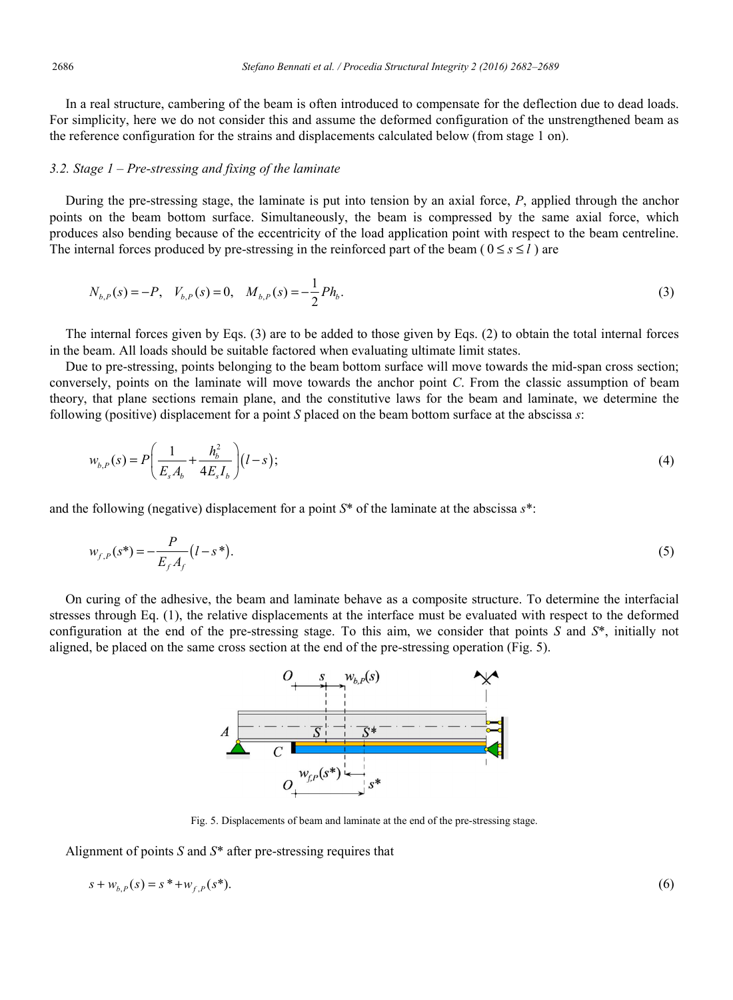In a real structure, cambering of the beam is often introduced to compensate for the deflection due to dead loads. For simplicity, here we do not consider this and assume the deformed configuration of the unstrengthened beam as the reference configuration for the strains and displacements calculated below (from stage 1 on).

## *3.2. Stage 1 – Pre-stressing and fixing of the laminate*

During the pre-stressing stage, the laminate is put into tension by an axial force, *P*, applied through the anchor points on the beam bottom surface. Simultaneously, the beam is compressed by the same axial force, which produces also bending because of the eccentricity of the load application point with respect to the beam centreline. The internal forces produced by pre-stressing in the reinforced part of the beam ( $0 \le s \le l$ ) are

$$
N_{b,P}(s) = -P, \quad V_{b,P}(s) = 0, \quad M_{b,P}(s) = -\frac{1}{2}Ph_b.
$$
\n(3)

The internal forces given by Eqs. (3) are to be added to those given by Eqs. (2) to obtain the total internal forces in the beam. All loads should be suitable factored when evaluating ultimate limit states.

Due to pre-stressing, points belonging to the beam bottom surface will move towards the mid-span cross section; conversely, points on the laminate will move towards the anchor point *C*. From the classic assumption of beam theory, that plane sections remain plane, and the constitutive laws for the beam and laminate, we determine the following (positive) displacement for a point *S* placed on the beam bottom surface at the abscissa *s*:

$$
w_{b,P}(s) = P\left(\frac{1}{E_s A_b} + \frac{h_b^2}{4E_s I_b}\right) (l - s);
$$
\n(4)

and the following (negative) displacement for a point *S*\* of the laminate at the abscissa *s*\*:

$$
w_{f,P}(s^*) = -\frac{P}{E_f A_f} (l - s^*).
$$
\n(5)

On curing of the adhesive, the beam and laminate behave as a composite structure. To determine the interfacial stresses through Eq. (1), the relative displacements at the interface must be evaluated with respect to the deformed configuration at the end of the pre-stressing stage. To this aim, we consider that points *S* and *S*\*, initially not aligned, be placed on the same cross section at the end of the pre-stressing operation (Fig. 5).



Fig. 5. Displacements of beam and laminate at the end of the pre-stressing stage.

Alignment of points *S* and *S*\* after pre-stressing requires that

$$
s + w_{b,P}(s) = s^* + w_{f,P}(s^*). \tag{6}
$$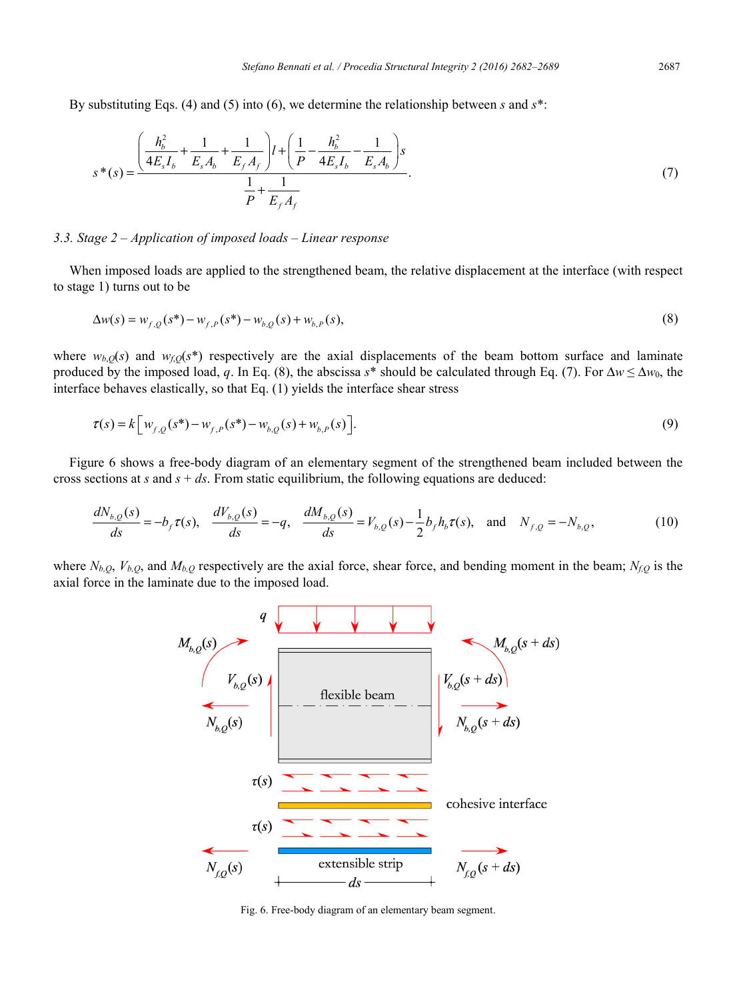By substituting Eqs. (4) and (5) into (6), we determine the relationship between *s* and *s*\*:

$$
s^*(s) = \frac{\left(\frac{h_b^2}{4E_s I_b} + \frac{1}{E_s A_b} + \frac{1}{E_f A_f}\right)l + \left(\frac{1}{P} - \frac{h_b^2}{4E_s I_b} - \frac{1}{E_s A_b}\right)s}{\frac{1}{P} + \frac{1}{E_f A_f}}.
$$
(7)

#### *3.3. Stage 2 – Application of imposed loads – Linear response*

When imposed loads are applied to the strengthened beam, the relative displacement at the interface (with respect to stage 1) turns out to be

$$
\Delta w(s) = w_{f,Q}(s^*) - w_{f,P}(s^*) - w_{b,Q}(s) + w_{b,P}(s),
$$
\n(8)

where  $w_{b,Q}(s)$  and  $w_{f,Q}(s^*)$  respectively are the axial displacements of the beam bottom surface and laminate produced by the imposed load, *q*. In Eq. (8), the abscissa  $s^*$  should be calculated through Eq. (7). For  $\Delta w \leq \Delta w_0$ , the interface behaves elastically, so that Eq. (1) yields the interface shear stress

$$
\tau(s) = k \Big[ w_{f,Q}(s^*) - w_{f,P}(s^*) - w_{b,Q}(s) + w_{b,P}(s) \Big].
$$
\n(9)

Figure 6 shows a free-body diagram of an elementary segment of the strengthened beam included between the cross sections at  $s$  and  $s + ds$ . From static equilibrium, the following equations are deduced:

$$
\frac{dN_{b,Q}(s)}{ds} = -b_f \tau(s), \quad \frac{dV_{b,Q}(s)}{ds} = -q, \quad \frac{dM_{b,Q}(s)}{ds} = V_{b,Q}(s) - \frac{1}{2} b_f h_b \tau(s), \quad \text{and} \quad N_{f,Q} = -N_{b,Q},
$$
\n(10)

where  $N_{b,Q}$ ,  $V_{b,Q}$ , and  $M_{b,Q}$  respectively are the axial force, shear force, and bending moment in the beam;  $N_{f,Q}$  is the axial force in the laminate due to the imposed load.



Fig. 6. Free-body diagram of an elementary beam segment.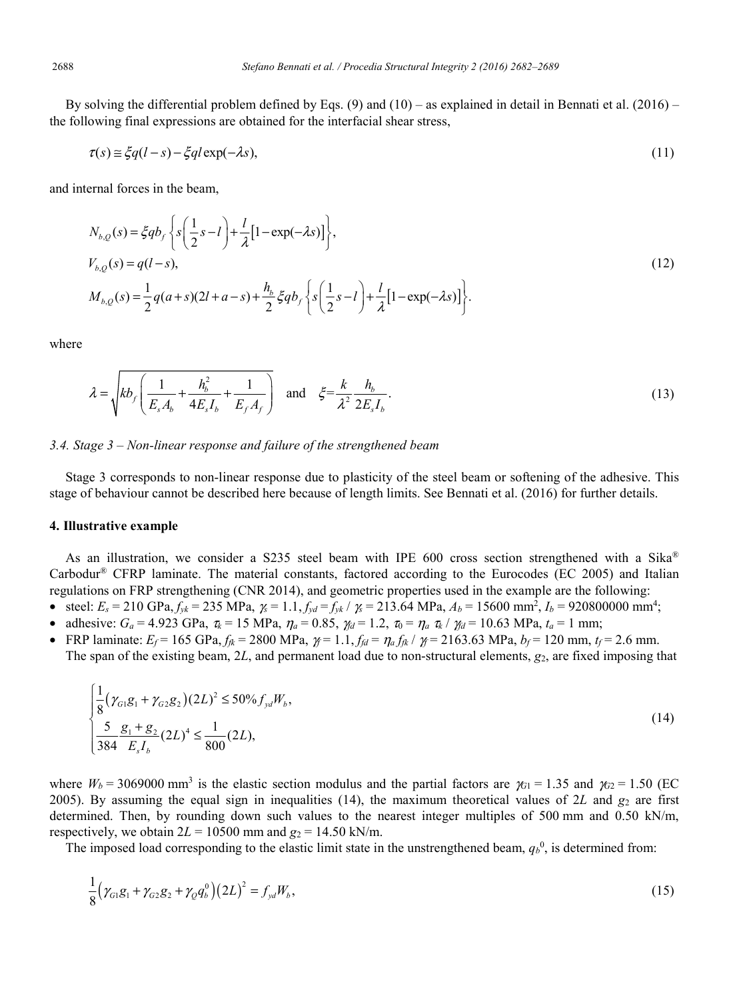By solving the differential problem defined by Eqs. (9) and  $(10)$  – as explained in detail in Bennati et al. (2016) – the following final expressions are obtained for the interfacial shear stress,

$$
\tau(s) \approx \xi q(l-s) - \xi q l \exp(-\lambda s),\tag{11}
$$

and internal forces in the beam,

$$
N_{b,Q}(s) = \xi q b_f \left\{ s \left( \frac{1}{2} s - l \right) + \frac{l}{\lambda} [1 - \exp(-\lambda s)] \right\},
$$
  
\n
$$
V_{b,Q}(s) = q(l - s),
$$
  
\n
$$
M_{b,Q}(s) = \frac{1}{2} q(a + s)(2l + a - s) + \frac{h_b}{2} \xi q b_f \left\{ s \left( \frac{1}{2} s - l \right) + \frac{l}{\lambda} [1 - \exp(-\lambda s)] \right\}.
$$
\n(12)

where

$$
\lambda = \sqrt{kb_f \left(\frac{1}{E_s A_b} + \frac{h_b^2}{4E_s I_b} + \frac{1}{E_f A_f}\right)} \quad \text{and} \quad \xi = \frac{k}{\lambda^2} \frac{h_b}{2E_s I_b}.
$$
 (13)

#### *3.4. Stage 3 – Non-linear response and failure of the strengthened beam*

Stage 3 corresponds to non-linear response due to plasticity of the steel beam or softening of the adhesive. This stage of behaviour cannot be described here because of length limits. See Bennati et al. (2016) for further details.

#### **4. Illustrative example**

As an illustration, we consider a S235 steel beam with IPE 600 cross section strengthened with a Sika® Carbodur® CFRP laminate. The material constants, factored according to the Eurocodes (EC 2005) and Italian regulations on FRP strengthening (CNR 2014), and geometric properties used in the example are the following:

- steel:  $E_s = 210 \text{ GPa}, f_{yk} = 235 \text{ MPa}, \; \chi = 1.1, f_{yd} = f_{yk} / \chi = 213.64 \text{ MPa}, A_b = 15600 \text{ mm}^2, I_b = 920800000 \text{ mm}^4;$
- adhesive:  $G_a = 4.923 \text{ GPa}$ ,  $\tau_k = 15 \text{ MPa}$ ,  $\eta_a = 0.85$ ,  $\gamma_d = 1.2$ ,  $\tau_0 = \eta_a \tau_k / \gamma_d = 10.63 \text{ MPa}$ ,  $t_a = 1 \text{ mm}$ ;
- FRP laminate:  $E_f = 165 \text{ GPa}, f_{fk} = 2800 \text{ MPa}, \gamma_f = 1.1, f_{fd} = \eta_a f_{fk} / \gamma_f = 2163.63 \text{ MPa}, b_f = 120 \text{ mm}, t_f = 2.6 \text{ mm}.$ The span of the existing beam, 2*L*, and permanent load due to non-structural elements, *g*2, are fixed imposing that

$$
\begin{cases} \frac{1}{8}(\gamma_{G1}g_1 + \gamma_{G2}g_2)(2L)^2 \le 50\% f_{yd}W_b, \\ \frac{5}{384} \frac{g_1 + g_2}{E_s I_b}(2L)^4 \le \frac{1}{800}(2L), \end{cases}
$$
\n(14)

where  $W_b$  = 3069000 mm<sup>3</sup> is the elastic section modulus and the partial factors are  $\gamma_{G1}$  = 1.35 and  $\gamma_{G2}$  = 1.50 (EC 2005). By assuming the equal sign in inequalities  $(14)$ , the maximum theoretical values of 2L and  $g_2$  are first determined. Then, by rounding down such values to the nearest integer multiples of 500 mm and 0.50 kN/m, respectively, we obtain  $2L = 10500$  mm and  $g_2 = 14.50$  kN/m.

The imposed load corresponding to the elastic limit state in the unstrengthened beam,  $q_b^0$ , is determined from:

$$
\frac{1}{8} \left( \gamma_{G1} g_1 + \gamma_{G2} g_2 + \gamma_Q q_b^0 \right) \left( 2L \right)^2 = f_{yd} W_b, \tag{15}
$$